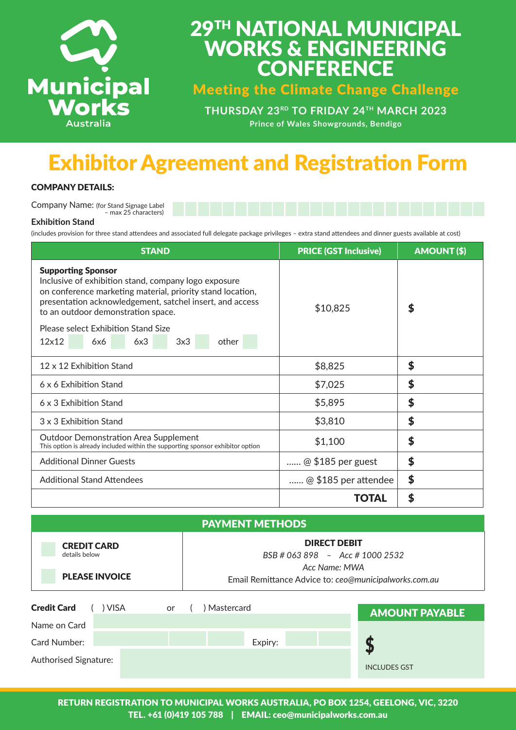

# 29TH NATIONAL MUNICIPAL WORKS & ENGINEERING **CONFERENCE**

Meeting the Climate Change Challenge

**THURSDAY 23RD TO FRIDAY 24TH MARCH 2023 Prince of Wales Showgrounds, Bendigo**

# Exhibitor Agreement and Registration Form

## COMPANY DETAILS:

Company Name: (for Stand Signage Label – max 25 characters)

### **Exhibition Stand**

(includes provision for three stand attendees and associated full delegate package privileges – extra stand attendees and dinner guests available at cost)

| <b>STAND</b>                                                                                                                                                                                                                                      | <b>PRICE (GST Inclusive)</b> | <b>AMOUNT (\$)</b> |
|---------------------------------------------------------------------------------------------------------------------------------------------------------------------------------------------------------------------------------------------------|------------------------------|--------------------|
| <b>Supporting Sponsor</b><br>Inclusive of exhibition stand, company logo exposure<br>on conference marketing material, priority stand location,<br>presentation acknowledgement, satchel insert, and access<br>to an outdoor demonstration space. | \$10,825                     | \$                 |
| Please select Exhibition Stand Size                                                                                                                                                                                                               |                              |                    |
| $12\times12$<br>6x3<br>3x3<br>other<br>6x6                                                                                                                                                                                                        |                              |                    |
| 12 x 12 Exhibition Stand                                                                                                                                                                                                                          | \$8,825                      | \$                 |
| 6 x 6 Exhibition Stand                                                                                                                                                                                                                            | \$7,025                      | \$                 |
| 6 x 3 Exhibition Stand                                                                                                                                                                                                                            | \$5,895                      | \$                 |
| 3 x 3 Exhibition Stand                                                                                                                                                                                                                            | \$3,810                      | \$                 |
| <b>Outdoor Demonstration Area Supplement</b><br>This option is already included within the supporting sponsor exhibitor option                                                                                                                    | \$1,100                      | \$                 |
| <b>Additional Dinner Guests</b>                                                                                                                                                                                                                   | $@$ \$185 per guest          | \$                 |
| <b>Additional Stand Attendees</b>                                                                                                                                                                                                                 | @ \$185 per attendee         | \$                 |
|                                                                                                                                                                                                                                                   | <b>TOTAL</b>                 | S                  |

| <b>PAYMENT METHODS</b>              |           |                                                                        |                     |                       |
|-------------------------------------|-----------|------------------------------------------------------------------------|---------------------|-----------------------|
| <b>CREDIT CARD</b><br>details below |           | <b>DIRECT DEBIT</b><br>$BSB \# 063 898 - Acc \# 1000 2532$             |                     |                       |
| <b>PLEASE INVOICE</b>               |           | Acc Name: MWA<br>Email Remittance Advice to: ceo@municipalworks.com.au |                     |                       |
| <b>Credit Card</b><br><b>VISA</b>   | <b>or</b> | Mastercard                                                             |                     | <b>AMOUNT PAYABLE</b> |
| Name on Card                        |           |                                                                        |                     |                       |
| <b>Card Number:</b>                 |           | Expiry:                                                                |                     |                       |
| Authorised Signature:               |           |                                                                        | <b>INCLUDES GST</b> |                       |

RETURN REGISTRATION TO MUNICIPAL WORKS AUSTRALIA, PO BOX 1254, GEELONG, VIC, 3220 TEL. +61 (0)419 105 788 | EMAIL: ceo@municipalworks.com.au